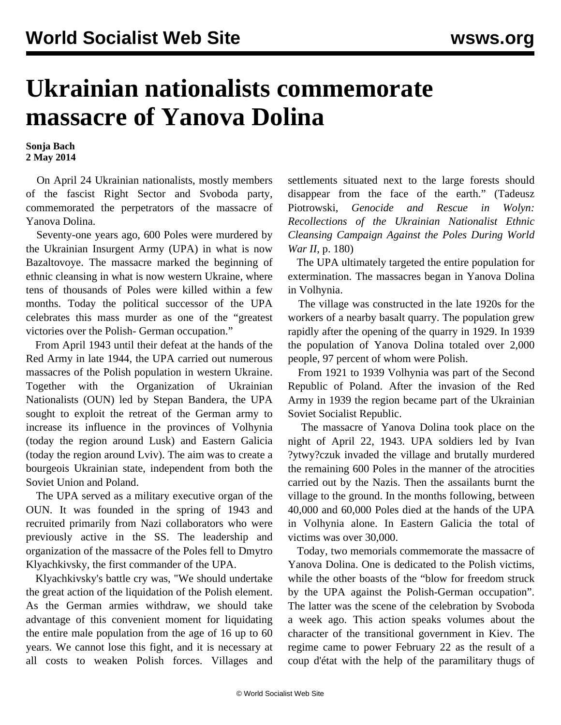## **Ukrainian nationalists commemorate massacre of Yanova Dolina**

**Sonja Bach 2 May 2014**

 On April 24 Ukrainian nationalists, mostly members of the fascist Right Sector and Svoboda party, commemorated the perpetrators of the massacre of Yanova Dolina.

 Seventy-one years ago, 600 Poles were murdered by the Ukrainian Insurgent Army (UPA) in what is now Bazaltovoye. The massacre marked the beginning of ethnic cleansing in what is now western Ukraine, where tens of thousands of Poles were killed within a few months. Today the political successor of the UPA celebrates this mass murder as one of the "greatest victories over the Polish- German occupation."

 From April 1943 until their defeat at the hands of the Red Army in late 1944, the UPA carried out numerous massacres of the Polish population in western Ukraine. Together with the Organization of Ukrainian Nationalists (OUN) led by Stepan Bandera, the UPA sought to exploit the retreat of the German army to increase its influence in the provinces of Volhynia (today the region around Lusk) and Eastern Galicia (today the region around Lviv). The aim was to create a bourgeois Ukrainian state, independent from both the Soviet Union and Poland.

 The UPA served as a military executive organ of the OUN. It was founded in the spring of 1943 and recruited primarily from Nazi collaborators who were previously active in the SS. The leadership and organization of the massacre of the Poles fell to Dmytro Klyachkivsky, the first commander of the UPA.

 Klyachkivsky's battle cry was, "We should undertake the great action of the liquidation of the Polish element. As the German armies withdraw, we should take advantage of this convenient moment for liquidating the entire male population from the age of 16 up to 60 years. We cannot lose this fight, and it is necessary at all costs to weaken Polish forces. Villages and settlements situated next to the large forests should disappear from the face of the earth." (Tadeusz Piotrowski, *Genocide and Rescue in Wolyn: Recollections of the Ukrainian Nationalist Ethnic Cleansing Campaign Against the Poles During World War II*, p. 180)

 The UPA ultimately targeted the entire population for extermination. The massacres began in Yanova Dolina in Volhynia.

 The village was constructed in the late 1920s for the workers of a nearby basalt quarry. The population grew rapidly after the opening of the quarry in 1929. In 1939 the population of Yanova Dolina totaled over 2,000 people, 97 percent of whom were Polish.

 From 1921 to 1939 Volhynia was part of the Second Republic of Poland. After the invasion of the Red Army in 1939 the region became part of the Ukrainian Soviet Socialist Republic.

 The massacre of Yanova Dolina took place on the night of April 22, 1943. UPA soldiers led by Ivan ?ytwy?czuk invaded the village and brutally murdered the remaining 600 Poles in the manner of the atrocities carried out by the Nazis. Then the assailants burnt the village to the ground. In the months following, between 40,000 and 60,000 Poles died at the hands of the UPA in Volhynia alone. In Eastern Galicia the total of victims was over 30,000.

 Today, two memorials commemorate the massacre of Yanova Dolina. One is dedicated to the Polish victims, while the other boasts of the "blow for freedom struck by the UPA against the Polish-German occupation". The latter was the scene of the celebration by Svoboda a week ago. This action speaks volumes about the character of the transitional government in Kiev. The regime came to power February 22 as the result of a coup d'état with the help of the paramilitary thugs of